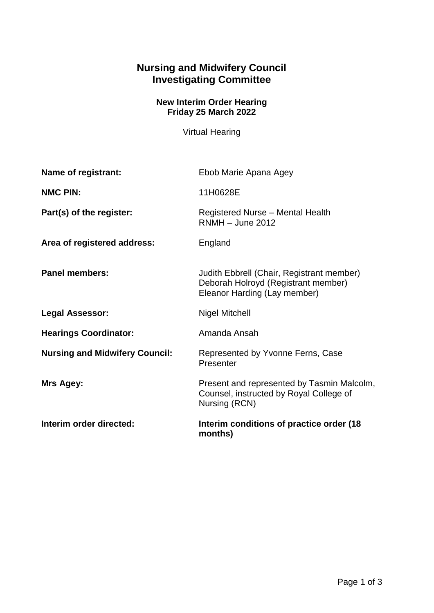## **Nursing and Midwifery Council Investigating Committee**

## **New Interim Order Hearing Friday 25 March 2022**

Virtual Hearing

| Name of registrant:                   | Ebob Marie Apana Agey                                                                                            |
|---------------------------------------|------------------------------------------------------------------------------------------------------------------|
| <b>NMC PIN:</b>                       | 11H0628E                                                                                                         |
| Part(s) of the register:              | Registered Nurse - Mental Health<br>$RNMH - June 2012$                                                           |
| Area of registered address:           | England                                                                                                          |
| <b>Panel members:</b>                 | Judith Ebbrell (Chair, Registrant member)<br>Deborah Holroyd (Registrant member)<br>Eleanor Harding (Lay member) |
| <b>Legal Assessor:</b>                | <b>Nigel Mitchell</b>                                                                                            |
| <b>Hearings Coordinator:</b>          | Amanda Ansah                                                                                                     |
| <b>Nursing and Midwifery Council:</b> | Represented by Yvonne Ferns, Case<br>Presenter                                                                   |
| Mrs Agey:                             | Present and represented by Tasmin Malcolm,<br>Counsel, instructed by Royal College of<br>Nursing (RCN)           |
| Interim order directed:               | Interim conditions of practice order (18)<br>months)                                                             |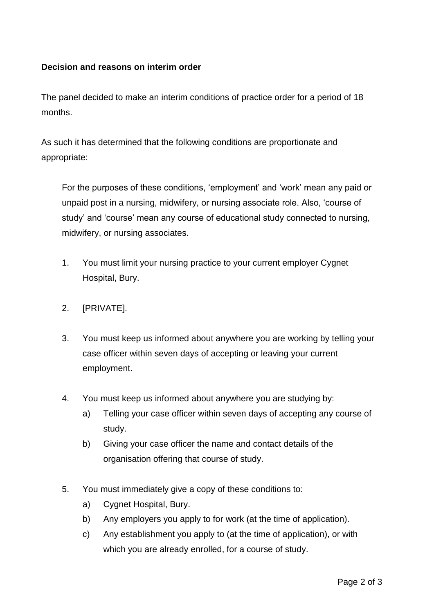## **Decision and reasons on interim order**

The panel decided to make an interim conditions of practice order for a period of 18 months.

As such it has determined that the following conditions are proportionate and appropriate:

For the purposes of these conditions, 'employment' and 'work' mean any paid or unpaid post in a nursing, midwifery, or nursing associate role. Also, 'course of study' and 'course' mean any course of educational study connected to nursing, midwifery, or nursing associates.

- 1. You must limit your nursing practice to your current employer Cygnet Hospital, Bury.
- 2. [PRIVATE].
- 3. You must keep us informed about anywhere you are working by telling your case officer within seven days of accepting or leaving your current employment.
- 4. You must keep us informed about anywhere you are studying by:
	- a) Telling your case officer within seven days of accepting any course of study.
	- b) Giving your case officer the name and contact details of the organisation offering that course of study.
- 5. You must immediately give a copy of these conditions to:
	- a) Cygnet Hospital, Bury.
	- b) Any employers you apply to for work (at the time of application).
	- c) Any establishment you apply to (at the time of application), or with which you are already enrolled, for a course of study.